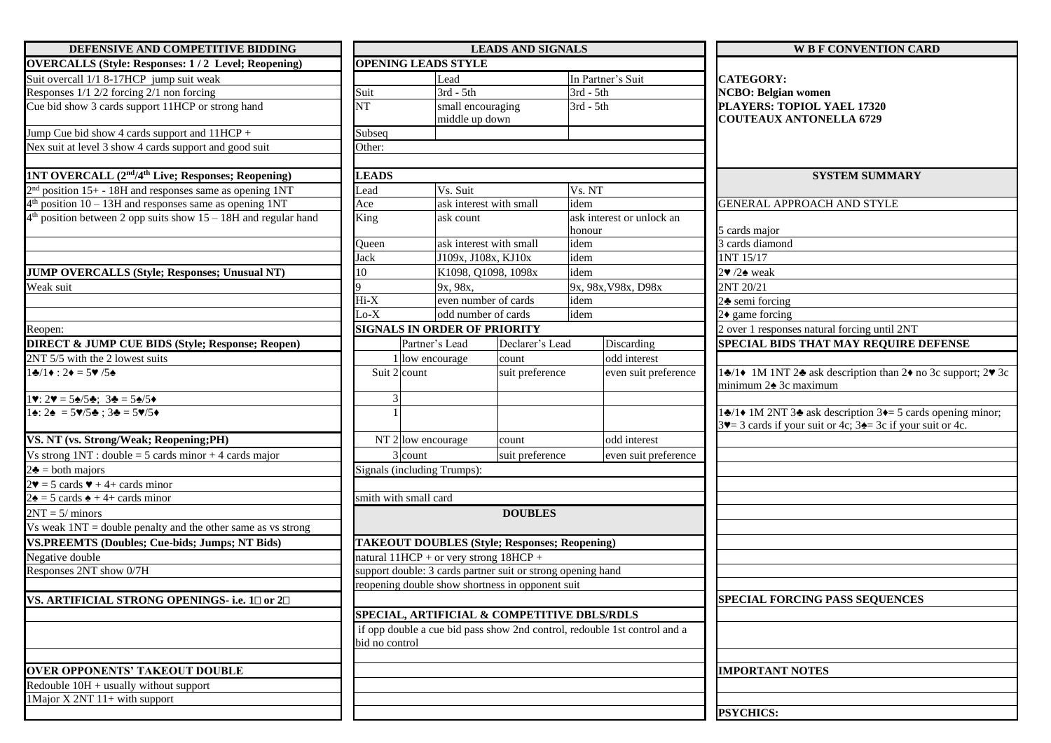| DEFENSIVE AND COMPETITIVE BIDDING                                                                                                              |                                                             | <b>LEADS AND SIGNALS</b>                                                                                                 |                                 |              |                           | <b>W B F CONVENTION CARD</b>                                                                                                                                       |  |
|------------------------------------------------------------------------------------------------------------------------------------------------|-------------------------------------------------------------|--------------------------------------------------------------------------------------------------------------------------|---------------------------------|--------------|---------------------------|--------------------------------------------------------------------------------------------------------------------------------------------------------------------|--|
| <b>OVERCALLS (Style: Responses: 1/2 Level; Reopening)</b>                                                                                      |                                                             | <b>OPENING LEADS STYLE</b>                                                                                               |                                 |              |                           |                                                                                                                                                                    |  |
| Suit overcall 1/1 8-17HCP jump suit weak                                                                                                       |                                                             | Lead                                                                                                                     |                                 |              | In Partner's Suit         | <b>CATEGORY:</b><br><b>NCBO</b> : Belgian women<br>PLAYERS: TOPIOL YAEL 17320<br><b>COUTEAUX ANTONELLA 6729</b>                                                    |  |
| Responses 1/1 2/2 forcing 2/1 non forcing                                                                                                      | Suit                                                        | $3rd - 5th$                                                                                                              |                                 |              | $3rd - 5th$               |                                                                                                                                                                    |  |
| Cue bid show 3 cards support 11HCP or strong hand                                                                                              | <b>NT</b>                                                   |                                                                                                                          | small encouraging               |              | $3rd - 5th$               |                                                                                                                                                                    |  |
|                                                                                                                                                |                                                             |                                                                                                                          | middle up down                  |              |                           |                                                                                                                                                                    |  |
| Jump Cue bid show 4 cards support and $1\overline{1HCP}$ +                                                                                     | Subseq                                                      |                                                                                                                          |                                 |              |                           |                                                                                                                                                                    |  |
| Nex suit at level 3 show 4 cards support and good suit                                                                                         | Other:                                                      |                                                                                                                          |                                 |              |                           |                                                                                                                                                                    |  |
| 1NT OVERCALL (2 <sup>nd</sup> /4 <sup>th</sup> Live; Responses; Reopening)                                                                     | <b>LEADS</b>                                                |                                                                                                                          |                                 |              |                           | <b>SYSTEM SUMMARY</b>                                                                                                                                              |  |
| position 15+ - 18H and responses same as opening 1NT                                                                                           | Lead                                                        | Vs. Suit                                                                                                                 |                                 |              | Vs. NT                    |                                                                                                                                                                    |  |
| position $10 - 13H$ and responses same as opening 1NT                                                                                          | Ace                                                         |                                                                                                                          | ask interest with small<br>idem |              |                           | <b>GENERAL APPROACH AND STYLE</b>                                                                                                                                  |  |
| $4th$ position between 2 opp suits show $15 - 18H$ and regular hand                                                                            | King                                                        | ask count                                                                                                                |                                 |              | ask interest or unlock an |                                                                                                                                                                    |  |
|                                                                                                                                                |                                                             |                                                                                                                          |                                 |              | honour                    | 5 cards major                                                                                                                                                      |  |
|                                                                                                                                                | Queen                                                       |                                                                                                                          | ask interest with small         |              |                           | 3 cards diamond                                                                                                                                                    |  |
|                                                                                                                                                | Jack                                                        | J109x, J108x, KJ10x                                                                                                      |                                 | idem<br>idem |                           | 1NT 15/17                                                                                                                                                          |  |
| <b>JUMP OVERCALLS (Style; Responses; Unusual NT)</b>                                                                                           | 10                                                          |                                                                                                                          | K1098, Q1098, 1098x             |              |                           | 2♥ /2♠ weak                                                                                                                                                        |  |
| Weak suit                                                                                                                                      |                                                             |                                                                                                                          | 9x, 98x,                        |              | 9x, 98x, V98x, D98x       | 2NT 20/21                                                                                                                                                          |  |
|                                                                                                                                                | Hi-X                                                        |                                                                                                                          | even number of cards            |              |                           | $2\spadesuit$ semi forcing                                                                                                                                         |  |
|                                                                                                                                                | $Lo-X$                                                      |                                                                                                                          | odd number of cards             |              |                           | $2\bullet$ game forcing                                                                                                                                            |  |
| Reopen:                                                                                                                                        |                                                             | <b>SIGNALS IN ORDER OF PRIORITY</b>                                                                                      |                                 |              |                           | 2 over 1 responses natural forcing until 2NT                                                                                                                       |  |
| <b>DIRECT &amp; JUMP CUE BIDS (Style; Response; Reopen)</b>                                                                                    |                                                             | Partner's Lead                                                                                                           | Declarer's Lead                 |              | Discarding                | <b>SPECIAL BIDS THAT MAY REQUIRE DEFENSE</b>                                                                                                                       |  |
| 2NT 5/5 with the 2 lowest suits                                                                                                                |                                                             | 1 low encourage                                                                                                          | count                           |              | odd interest              |                                                                                                                                                                    |  |
| $1\clubsuit/1\bullet$ : 2 $\bullet$ = 5 $\blacktriangledown$ /5 $\spadesuit$                                                                   |                                                             | Suit 2 count<br>suit preference                                                                                          |                                 |              | even suit preference      | 1♦/1♦ 1M 1NT 2♣ ask description than 2♦ no 3c support; 2♥ 3c<br>minimum 2♠ 3c maximum                                                                              |  |
| $1\blacktriangledown: 2\blacktriangledown = 5\triangle 5\triangle 5; 3\blacktriangledown = 5\triangle 5\blacktriangledown 5\blacktriangledown$ |                                                             |                                                                                                                          |                                 |              |                           |                                                                                                                                                                    |  |
| $1\cdot 2$ = 5 $\sqrt{5}$ ; 3 $\cdot 3$ = 5 $\sqrt{5}$                                                                                         |                                                             |                                                                                                                          |                                 |              |                           | 1♦/1♦ 1M 2NT 3♦ ask description 3♦= 5 cards opening minor;<br>$3\blacktriangleright$ = 3 cards if your suit or 4c; $3\blacktriangleright$ = 3c if your suit or 4c. |  |
| VS. NT (vs. Strong/Weak; Reopening;PH)                                                                                                         |                                                             | NT 2 low encourage                                                                                                       | count                           |              | odd interest              |                                                                                                                                                                    |  |
| Vs strong $1NT$ : double = 5 cards minor + 4 cards major                                                                                       |                                                             | $3$ count                                                                                                                | suit preference                 |              | even suit preference      |                                                                                                                                                                    |  |
| $2\clubsuit =$ both majors                                                                                                                     |                                                             | Signals (including Trumps):                                                                                              |                                 |              |                           |                                                                                                                                                                    |  |
| $2\mathbf{v} = 5$ cards $\mathbf{v} + 4 +$ cards minor                                                                                         |                                                             |                                                                                                                          |                                 |              |                           |                                                                                                                                                                    |  |
| $2\bullet = 5$ cards $\bullet + 4 +$ cards minor                                                                                               |                                                             | smith with small card                                                                                                    |                                 |              |                           |                                                                                                                                                                    |  |
| $2NT = 5/$ minors                                                                                                                              |                                                             |                                                                                                                          | <b>DOUBLES</b>                  |              |                           |                                                                                                                                                                    |  |
| $Vs$ weak $1NT = double$ penalty and the other same as vs strong                                                                               |                                                             |                                                                                                                          |                                 |              |                           |                                                                                                                                                                    |  |
| <b>VS.PREEMTS (Doubles; Cue-bids; Jumps; NT Bids)</b>                                                                                          |                                                             | <b>TAKEOUT DOUBLES (Style; Responses; Reopening)</b>                                                                     |                                 |              |                           |                                                                                                                                                                    |  |
| Negative double                                                                                                                                |                                                             | natural $11HCP + or$ very strong $18HCP +$                                                                               |                                 |              |                           |                                                                                                                                                                    |  |
| Responses 2NT show 0/7H                                                                                                                        | support double: 3 cards partner suit or strong opening hand |                                                                                                                          |                                 |              |                           |                                                                                                                                                                    |  |
|                                                                                                                                                |                                                             | reopening double show shortness in opponent suit                                                                         |                                 |              |                           |                                                                                                                                                                    |  |
| VS. ARTIFICIAL STRONG OPENINGS- i.e. 10 or 20                                                                                                  |                                                             |                                                                                                                          |                                 |              |                           | <b>SPECIAL FORCING PASS SEQUENCES</b>                                                                                                                              |  |
|                                                                                                                                                |                                                             |                                                                                                                          |                                 |              |                           |                                                                                                                                                                    |  |
|                                                                                                                                                |                                                             | SPECIAL, ARTIFICIAL & COMPETITIVE DBLS/RDLS<br>if opp double a cue bid pass show 2nd control, redouble 1st control and a |                                 |              |                           |                                                                                                                                                                    |  |
|                                                                                                                                                | bid no control                                              |                                                                                                                          |                                 |              |                           |                                                                                                                                                                    |  |
|                                                                                                                                                |                                                             |                                                                                                                          |                                 |              |                           |                                                                                                                                                                    |  |
| <b>OVER OPPONENTS' TAKEOUT DOUBLE</b>                                                                                                          |                                                             |                                                                                                                          |                                 |              |                           | <b>IMPORTANT NOTES</b>                                                                                                                                             |  |
| Redouble $10H +$ usually without support                                                                                                       |                                                             |                                                                                                                          |                                 |              |                           |                                                                                                                                                                    |  |
| 1 Major X 2NT 11+ with support                                                                                                                 |                                                             |                                                                                                                          |                                 |              |                           |                                                                                                                                                                    |  |
|                                                                                                                                                |                                                             |                                                                                                                          |                                 |              |                           | <b>PSYCHICS:</b>                                                                                                                                                   |  |
|                                                                                                                                                |                                                             |                                                                                                                          |                                 |              |                           |                                                                                                                                                                    |  |